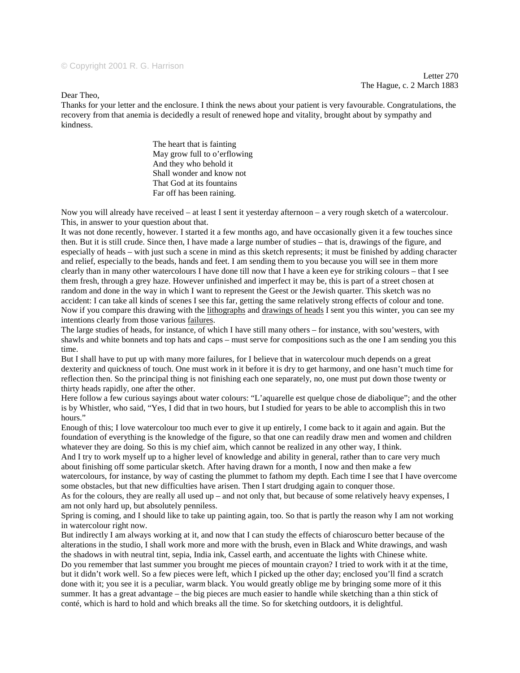## © Copyright 2001 R. G. Harrison

Letter 270 The Hague, c. 2 March 1883

Dear Theo,

Thanks for your letter and the enclosure. I think the news about your patient is very favourable. Congratulations, the recovery from that anemia is decidedly a result of renewed hope and vitality, brought about by sympathy and kindness.

> The heart that is fainting May grow full to o'erflowing And they who behold it Shall wonder and know not That God at its fountains Far off has been raining.

Now you will already have received – at least I sent it yesterday afternoon – a very rough sketch of a watercolour. This, in answer to your question about that.

It was not done recently, however. I started it a few months ago, and have occasionally given it a few touches since then. But it is still crude. Since then, I have made a large number of studies – that is, drawings of the figure, and especially of heads – with just such a scene in mind as this sketch represents; it must be finished by adding character and relief, especially to the beads, hands and feet. I am sending them to you because you will see in them more clearly than in many other watercolours I have done till now that I have a keen eye for striking colours – that I see them fresh, through a grey haze. However unfinished and imperfect it may be, this is part of a street chosen at random and done in the way in which I want to represent the Geest or the Jewish quarter. This sketch was no accident: I can take all kinds of scenes I see this far, getting the same relatively strong effects of colour and tone. Now if you compare this drawing with the lithographs and drawings of heads I sent you this winter, you can see my intentions clearly from those various failures.

The large studies of heads, for instance, of which I have still many others – for instance, with sou'westers, with shawls and white bonnets and top hats and caps – must serve for compositions such as the one I am sending you this time.

But I shall have to put up with many more failures, for I believe that in watercolour much depends on a great dexterity and quickness of touch. One must work in it before it is dry to get harmony, and one hasn't much time for reflection then. So the principal thing is not finishing each one separately, no, one must put down those twenty or thirty heads rapidly, one after the other.

Here follow a few curious sayings about water colours: "L'aquarelle est quelque chose de diabolique"; and the other is by Whistler, who said, "Yes, I did that in two hours, but I studied for years to be able to accomplish this in two hours."

Enough of this; I love watercolour too much ever to give it up entirely, I come back to it again and again. But the foundation of everything is the knowledge of the figure, so that one can readily draw men and women and children whatever they are doing. So this is my chief aim, which cannot be realized in any other way, I think.

And I try to work myself up to a higher level of knowledge and ability in general, rather than to care very much about finishing off some particular sketch. After having drawn for a month, I now and then make a few watercolours, for instance, by way of casting the plummet to fathom my depth. Each time I see that I have overcome some obstacles, but that new difficulties have arisen. Then I start drudging again to conquer those.

As for the colours, they are really all used up – and not only that, but because of some relatively heavy expenses, I am not only hard up, but absolutely penniless.

Spring is coming, and I should like to take up painting again, too. So that is partly the reason why I am not working in watercolour right now.

But indirectly I am always working at it, and now that I can study the effects of chiaroscuro better because of the alterations in the studio, I shall work more and more with the brush, even in Black and White drawings, and wash the shadows in with neutral tint, sepia, India ink, Cassel earth, and accentuate the lights with Chinese white. Do you remember that last summer you brought me pieces of mountain crayon? I tried to work with it at the time, but it didn't work well. So a few pieces were left, which I picked up the other day; enclosed you'll find a scratch done with it; you see it is a peculiar, warm black. You would greatly oblige me by bringing some more of it this summer. It has a great advantage – the big pieces are much easier to handle while sketching than a thin stick of conté, which is hard to hold and which breaks all the time. So for sketching outdoors, it is delightful.